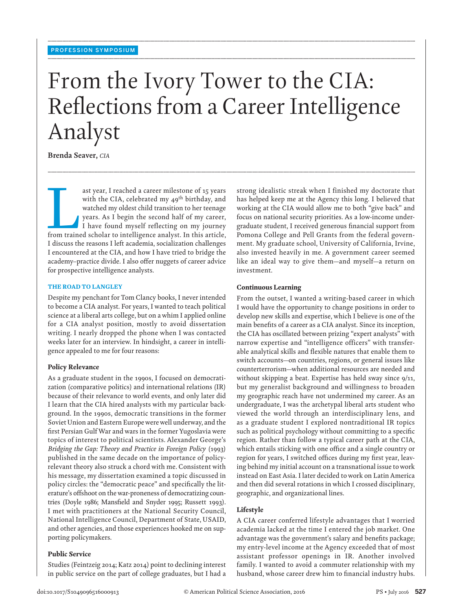#### PROFESSION SYMPOSIUM

# From the Ivory Tower to the CIA: Reflections from a Career Intelligence Analyst

**........................................................................................................................................................................................................................................................................................................**

**........................................................................................................................................................................................................................................................................................................**

**........................................................................................................................................................................................................................................................................................................**

Brenda Seaver, CIA

ast year, I reached a career milestone of 15 years<br>
with the CIA, celebrated my 49<sup>th</sup> birthday, and<br>
watched my oldest child transition to her teenage<br>
years. As I begin the second half of my career,<br>
I have found myself with the CIA, celebrated my  $49<sup>th</sup>$  birthday, and watched my oldest child transition to her teenage years. As I begin the second half of my career, I have found myself reflecting on my journey I discuss the reasons I left academia, socialization challenges I encountered at the CIA, and how I have tried to bridge the academy-practice divide. I also offer nuggets of career advice for prospective intelligence analysts.

# **THE ROAD TO LANGLEY**

 Despite my penchant for Tom Clancy books, I never intended to become a CIA analyst. For years, I wanted to teach political science at a liberal arts college, but on a whim I applied online for a CIA analyst position, mostly to avoid dissertation writing. I nearly dropped the phone when I was contacted weeks later for an interview. In hindsight, a career in intelligence appealed to me for four reasons:

# **Policy Relevance**

 As a graduate student in the 1990s, I focused on democratization (comparative politics) and international relations (IR) because of their relevance to world events, and only later did I learn that the CIA hired analysts with my particular background. In the 1990s, democratic transitions in the former Soviet Union and Eastern Europe were well underway, and the first Persian Gulf War and wars in the former Yugoslavia were topics of interest to political scientists. Alexander George's *Bridging the Gap: Theory and Practice in Foreign Policy* (1993) published in the same decade on the importance of policyrelevant theory also struck a chord with me. Consistent with his message, my dissertation examined a topic discussed in policy circles: the "democratic peace" and specifically the literature's offshoot on the war-proneness of democratizing countries (Doyle 1986; Mansfield and Snyder 1995; Russett 1993). I met with practitioners at the National Security Council, National Intelligence Council, Department of State, USAID, and other agencies, and those experiences hooked me on supporting policymakers.

# **Public Service**

Studies (Feintzeig 2014; Katz 2014) point to declining interest in public service on the part of college graduates, but I had a strong idealistic streak when I finished my doctorate that has helped keep me at the Agency this long. I believed that working at the CIA would allow me to both "give back" and focus on national security priorities. As a low-income undergraduate student, I received generous financial support from Pomona College and Pell Grants from the federal government. My graduate school, University of California, Irvine, also invested heavily in me. A government career seemed like an ideal way to give them—and myself—a return on investment.

# **Continuous Learning**

 From the outset, I wanted a writing-based career in which I would have the opportunity to change positions in order to develop new skills and expertise, which I believe is one of the main benefits of a career as a CIA analyst. Since its inception, the CIA has oscillated between prizing "expert analysts" with narrow expertise and "intelligence officers" with transferable analytical skills and flexible natures that enable them to switch accounts—on countries, regions, or general issues like counterterrorism—when additional resources are needed and without skipping a beat. Expertise has held sway since 9/11, but my generalist background and willingness to broaden my geographic reach have not undermined my career. As an undergraduate, I was the archetypal liberal arts student who viewed the world through an interdisciplinary lens, and as a graduate student I explored nontraditional IR topics such as political psychology without committing to a specific region. Rather than follow a typical career path at the CIA, which entails sticking with one office and a single country or region for years, I switched offices during my first year, leaving behind my initial account on a transnational issue to work instead on East Asia. I later decided to work on Latin America and then did several rotations in which I crossed disciplinary, geographic, and organizational lines.

# **Lifestyle**

 A CIA career conferred lifestyle advantages that I worried academia lacked at the time I entered the job market. One advantage was the government's salary and benefits package; my entry-level income at the Agency exceeded that of most assistant professor openings in IR. Another involved family. I wanted to avoid a commuter relationship with my husband, whose career drew him to financial industry hubs.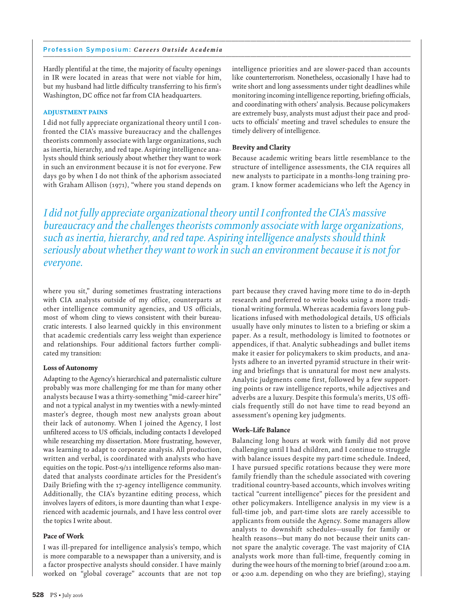#### Profession Symposium: *Careers Outside Academia* **........................................................................................................................................................................................................................................................................................................**

Hardly plentiful at the time, the majority of faculty openings in IR were located in areas that were not viable for him, but my husband had little difficulty transferring to his firm's Washington, DC office not far from CIA headquarters.

#### **ADJUSTMENT PAINS**

 I did not fully appreciate organizational theory until I confronted the CIA's massive bureaucracy and the challenges theorists commonly associate with large organizations, such as inertia, hierarchy, and red tape. Aspiring intelligence analysts should think seriously about whether they want to work in such an environment because it is not for everyone. Few days go by when I do not think of the aphorism associated with Graham Allison (1971), "where you stand depends on intelligence priorities and are slower-paced than accounts like counterterrorism. Nonetheless, occasionally I have had to write short and long assessments under tight deadlines while monitoring incoming intelligence reporting, briefing officials, and coordinating with others' analysis. Because policymakers are extremely busy, analysts must adjust their pace and products to officials' meeting and travel schedules to ensure the timely delivery of intelligence.

#### **Brevity and Clarity**

 Because academic writing bears little resemblance to the structure of intelligence assessments, the CIA requires all new analysts to participate in a months-long training program. I know former academicians who left the Agency in

 *I did not fully appreciate organizational theory until I confronted the CIA's massive bureaucracy and the challenges theorists commonly associate with large organizations, such as inertia, hierarchy, and red tape. Aspiring intelligence analysts should think seriously about whether they want to work in such an environment because it is not for everyone.* 

**........................................................................................................................................................................................................................................................................................................**

where you sit," during sometimes frustrating interactions with CIA analysts outside of my office, counterparts at other intelligence community agencies, and US officials, most of whom cling to views consistent with their bureaucratic interests. I also learned quickly in this environment that academic credentials carry less weight than experience and relationships. Four additional factors further complicated my transition:

# **Loss of Autonomy**

 Adapting to the Agency's hierarchical and paternalistic culture probably was more challenging for me than for many other analysts because I was a thirty-something "mid-career hire" and not a typical analyst in my twenties with a newly-minted master's degree, though most new analysts groan about their lack of autonomy. When I joined the Agency, I lost unfiltered access to US officials, including contacts I developed while researching my dissertation. More frustrating, however, was learning to adapt to corporate analysis. All production, written and verbal, is coordinated with analysts who have equities on the topic. Post-9/11 intelligence reforms also mandated that analysts coordinate articles for the President's Daily Briefing with the 17-agency intelligence community. Additionally, the CIA's byzantine editing process, which involves layers of editors, is more daunting than what I experienced with academic journals, and I have less control over the topics I write about.

#### **Pace of Work**

 I was ill-prepared for intelligence analysis's tempo, which is more comparable to a newspaper than a university, and is a factor prospective analysts should consider. I have mainly worked on "global coverage" accounts that are not top part because they craved having more time to do in-depth research and preferred to write books using a more traditional writing formula. Whereas academia favors long publications infused with methodological details, US officials usually have only minutes to listen to a briefing or skim a paper. As a result, methodology is limited to footnotes or appendices, if that. Analytic subheadings and bullet items make it easier for policymakers to skim products, and analysts adhere to an inverted pyramid structure in their writing and briefings that is unnatural for most new analysts. Analytic judgments come first, followed by a few supporting points or raw intelligence reports, while adjectives and adverbs are a luxury. Despite this formula's merits, US officials frequently still do not have time to read beyond an assessment's opening key judgments.

#### **Work–Life Balance**

 Balancing long hours at work with family did not prove challenging until I had children, and I continue to struggle with balance issues despite my part-time schedule. Indeed, I have pursued specific rotations because they were more family friendly than the schedule associated with covering traditional country-based accounts, which involves writing tactical "current intelligence" pieces for the president and other policymakers. Intelligence analysis in my view is a full-time job, and part-time slots are rarely accessible to applicants from outside the Agency. Some managers allow analysts to downshift schedules—usually for family or health reasons—but many do not because their units cannot spare the analytic coverage. The vast majority of CIA analysts work more than full-time, frequently coming in during the wee hours of the morning to brief (around 2:00 a.m. or 4:00 a.m. depending on who they are briefing), staying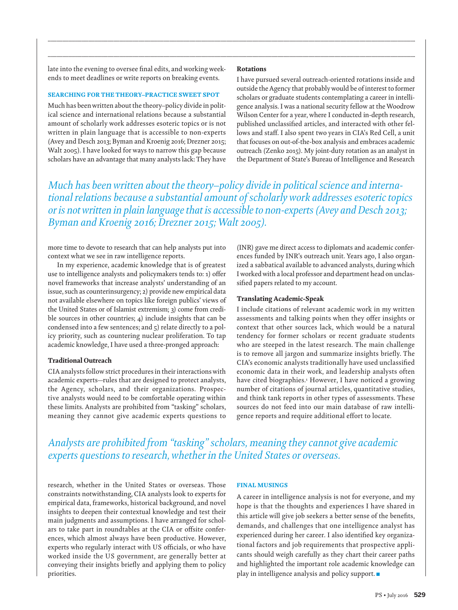late into the evening to oversee final edits, and working weekends to meet deadlines or write reports on breaking events.

#### **SEARCHING FOR THE THEORY–PRACTICE SWEET SPOT**

 Much has been written about the theory–policy divide in political science and international relations because a substantial amount of scholarly work addresses esoteric topics or is not written in plain language that is accessible to non-experts (Avey and Desch 2013; Byman and Kroenig 2016; Drezner 2015; Walt 2005). I have looked for ways to narrow this gap because scholars have an advantage that many analysts lack: They have

#### **Rotations**

**........................................................................................................................................................................................................................................................................................................**

**........................................................................................................................................................................................................................................................................................................**

 I have pursued several outreach-oriented rotations inside and outside the Agency that probably would be of interest to former scholars or graduate students contemplating a career in intelligence analysis. I was a national security fellow at the Woodrow Wilson Center for a year, where I conducted in-depth research, published unclassified articles, and interacted with other fellows and staff. I also spent two years in CIA's Red Cell, a unit that focuses on out-of-the-box analysis and embraces academic outreach (Zenko 2015). My joint-duty rotation as an analyst in the Department of State's Bureau of Intelligence and Research

 *Much has been written about the theory–policy divide in political science and international relations because a substantial amount of scholarly work addresses esoteric topics or is not written in plain language that is accessible to non-experts (Avey and Desch 2013; Byman and Kroenig 2016 ; Drezner 2015 ; Walt 2005 ).* 

more time to devote to research that can help analysts put into context what we see in raw intelligence reports.

 In my experience, academic knowledge that is of greatest use to intelligence analysts and policymakers tends to: 1) offer novel frameworks that increase analysts' understanding of an issue, such as counterinsurgency; 2) provide new empirical data not available elsewhere on topics like foreign publics' views of the United States or of Islamist extremism; 3) come from credible sources in other countries; 4) include insights that can be condensed into a few sentences; and 5) relate directly to a policy priority, such as countering nuclear proliferation. To tap academic knowledge, I have used a three-pronged approach:

#### **Traditional Outreach**

 CIA analysts follow strict procedures in their interactions with academic experts—rules that are designed to protect analysts, the Agency, scholars, and their organizations. Prospective analysts would need to be comfortable operating within these limits. Analysts are prohibited from "tasking" scholars, meaning they cannot give academic experts questions to

(INR) gave me direct access to diplomats and academic conferences funded by INR's outreach unit. Years ago, I also organized a sabbatical available to advanced analysts, during which I worked with a local professor and department head on unclassified papers related to my account.

#### **Translating Academic-Speak**

 I include citations of relevant academic work in my written assessments and talking points when they offer insights or context that other sources lack, which would be a natural tendency for former scholars or recent graduate students who are steeped in the latest research. The main challenge is to remove all jargon and summarize insights briefly. The CIA's economic analysts traditionally have used unclassified economic data in their work, and leadership analysts often have cited biographies.<sup>1</sup> However, I have noticed a growing number of citations of journal articles, quantitative studies, and think tank reports in other types of assessments. These sources do not feed into our main database of raw intelligence reports and require additional effort to locate.

# *Analysts are prohibited from "tasking" scholars, meaning they cannot give academic experts questions to research, whether in the United States or overseas.*

research, whether in the United States or overseas. Those constraints notwithstanding, CIA analysts look to experts for empirical data, frameworks, historical background, and novel insights to deepen their contextual knowledge and test their main judgments and assumptions. I have arranged for scholars to take part in roundtables at the CIA or offsite conferences, which almost always have been productive. However, experts who regularly interact with US officials, or who have worked inside the US government, are generally better at conveying their insights briefly and applying them to policy priorities.

#### **FINAL MUSINGS**

 A career in intelligence analysis is not for everyone, and my hope is that the thoughts and experiences I have shared in this article will give job seekers a better sense of the benefits, demands, and challenges that one intelligence analyst has experienced during her career. I also identified key organizational factors and job requirements that prospective applicants should weigh carefully as they chart their career paths and highlighted the important role academic knowledge can play in intelligence analysis and policy support.  $\blacksquare$